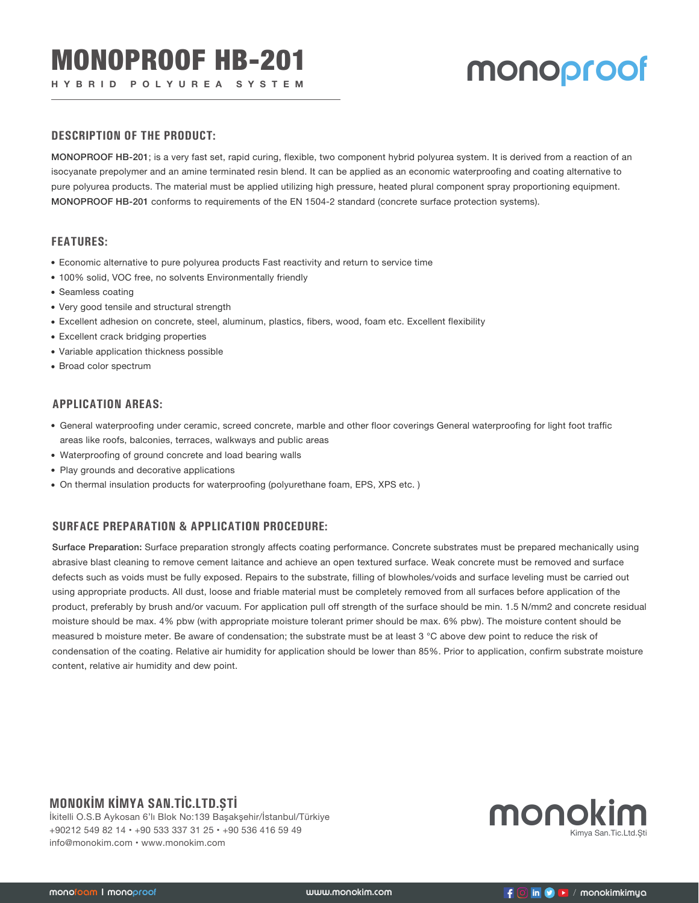# **HYBRID POLYUREA SYSTEM MONOPFOOF**

#### **DESCRIPTION OF THE PRODUCT:**

MONOPROOF HB-201; is a very fast set, rapid curing, flexible, two component hybrid polyurea system. It is derived from a reaction of an isocyanate prepolymer and an amine terminated resin blend. It can be applied as an economic waterproofing and coating alternative to pure polyurea products. The material must be applied utilizing high pressure, heated plural component spray proportioning equipment. MONOPROOF HB-201 conforms to requirements of the EN 1504-2 standard (concrete surface protection systems).

#### **FEATURES:**

- Economic alternative to pure polyurea products Fast reactivity and return to service time
- 100% solid, VOC free, no solvents Environmentally friendly
- Seamless coating
- Very good tensile and structural strength
- Excellent adhesion on concrete, steel, aluminum, plastics, fibers, wood, foam etc. Excellent flexibility
- Excellent crack bridging properties
- Variable application thickness possible
- Broad color spectrum

#### **APPLICATION AREAS:**

- General waterproofing under ceramic, screed concrete, marble and other floor coverings General waterproofing for light foot traffic areas like roofs, balconies, terraces, walkways and public areas
- Waterproofing of ground concrete and load bearing walls
- Play grounds and decorative applications
- On thermal insulation products for waterproofing (polyurethane foam, EPS, XPS etc. )

### **SURFACE PREPARATION & APPLICATION PROCEDURE:**

Surface Preparation: Surface preparation strongly affects coating performance. Concrete substrates must be prepared mechanically using abrasive blast cleaning to remove cement laitance and achieve an open textured surface. Weak concrete must be removed and surface defects such as voids must be fully exposed. Repairs to the substrate, filling of blowholes/voids and surface leveling must be carried out using appropriate products. All dust, loose and friable material must be completely removed from all surfaces before application of the product, preferably by brush and/or vacuum. For application pull off strength of the surface should be min. 1.5 N/mm2 and concrete residual moisture should be max. 4% pbw (with appropriate moisture tolerant primer should be max. 6% pbw). The moisture content should be measured b moisture meter. Be aware of condensation; the substrate must be at least 3 °C above dew point to reduce the risk of condensation of the coating. Relative air humidity for application should be lower than 85%. Prior to application, confirm substrate moisture content, relative air humidity and dew point.

## **MONOKİM KİMYA SAN.TİC.LTD.ŞTİ**

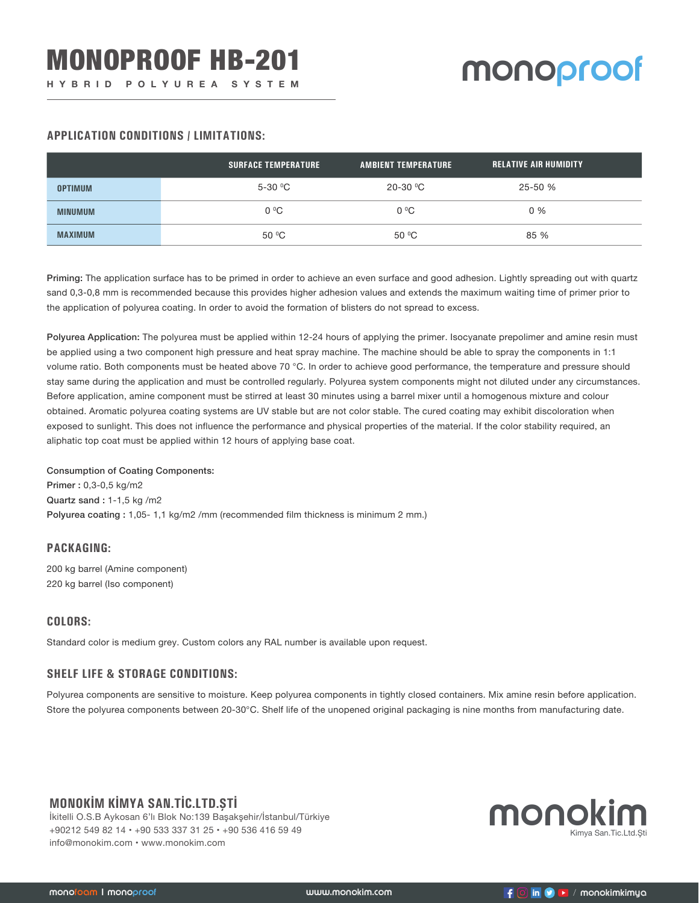#### **APPLICATION CONDITIONS / LIMITATIONS:**

|                | <b>SURFACE TEMPERATURE</b> | <b>AMBIENT TEMPERATURE</b> | <b>RELATIVE AIR HUMIDITY</b> |
|----------------|----------------------------|----------------------------|------------------------------|
| <b>OPTIMUM</b> | $5-30$ °C                  | $20-30$ °C                 | 25-50 %                      |
| <b>MINUMUM</b> | $0^{\circ}$ C              | $0^{\circ}$ C              | $0\%$                        |
| <b>MAXIMUM</b> | 50 °C                      | 50 °C                      | 85 %                         |

Priming: The application surface has to be primed in order to achieve an even surface and good adhesion. Lightly spreading out with quartz sand 0,3-0,8 mm is recommended because this provides higher adhesion values and extends the maximum waiting time of primer prior to the application of polyurea coating. In order to avoid the formation of blisters do not spread to excess.

Polyurea Application: The polyurea must be applied within 12-24 hours of applying the primer. Isocyanate prepolimer and amine resin must be applied using a two component high pressure and heat spray machine. The machine should be able to spray the components in 1:1 volume ratio. Both components must be heated above 70 °C. In order to achieve good performance, the temperature and pressure should stay same during the application and must be controlled regularly. Polyurea system components might not diluted under any circumstances. Before application, amine component must be stirred at least 30 minutes using a barrel mixer until a homogenous mixture and colour obtained. Aromatic polyurea coating systems are UV stable but are not color stable. The cured coating may exhibit discoloration when exposed to sunlight. This does not influence the performance and physical properties of the material. If the color stability required, an aliphatic top coat must be applied within 12 hours of applying base coat.

#### Consumption of Coating Components:

Primer : 0,3-0,5 kg/m2 Quartz sand : 1-1,5 kg /m2 Polyurea coating : 1,05- 1,1 kg/m2 /mm (recommended film thickness is minimum 2 mm.)

#### **PACKAGING:**

200 kg barrel (Amine component) 220 kg barrel (Iso component)

#### **COLORS:**

Standard color is medium grey. Custom colors any RAL number is available upon request.

### **SHELF LIFE & STORAGE CONDITIONS:**

Polyurea components are sensitive to moisture. Keep polyurea components in tightly closed containers. Mix amine resin before application. Store the polyurea components between 20-30°C. Shelf life of the unopened original packaging is nine months from manufacturing date.

## **MONOKİM KİMYA SAN.TİC.LTD.ŞTİ**

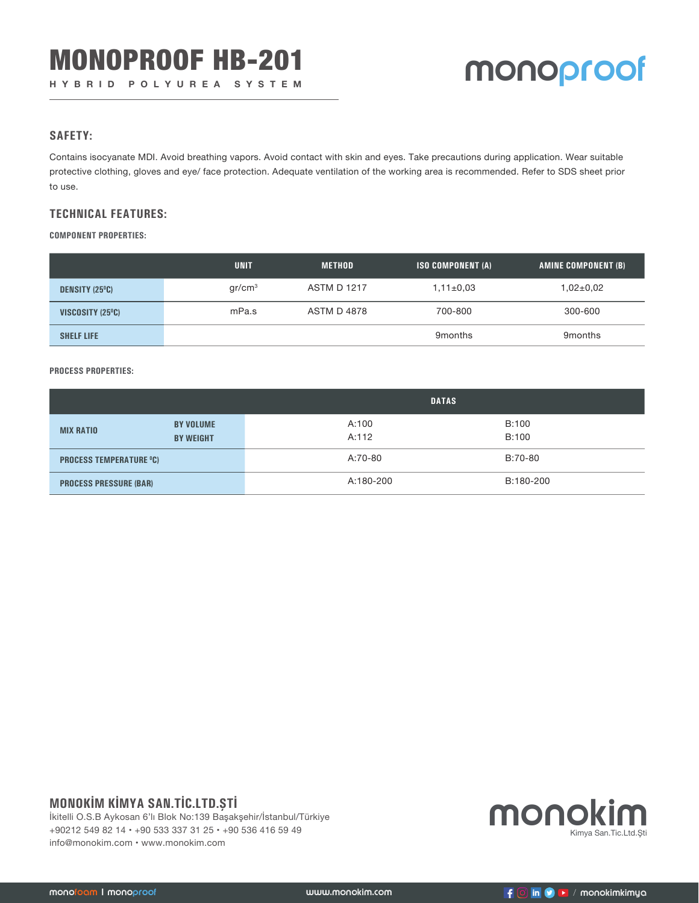#### **SAFETY:**

Contains isocyanate MDI. Avoid breathing vapors. Avoid contact with skin and eyes. Take precautions during application. Wear suitable protective clothing, gloves and eye/ face protection. Adequate ventilation of the working area is recommended. Refer to SDS sheet prior to use.

#### **TECHNICAL FEATURES:**

**COMPONENT PROPERTIES:**

|                       | <b>UNIT</b>        | <b>METHOD</b>      | <b>ISO COMPONENT (A)</b> | AMINE COMPONENT (B) |
|-----------------------|--------------------|--------------------|--------------------------|---------------------|
| <b>DENSITY (25°C)</b> | gr/cm <sup>3</sup> | <b>ASTM D 1217</b> | $1,11\pm0.03$            | $1,02{\pm}0.02$     |
| VISCOSITY (25°C)      | mPa.s              | ASTM D 4878        | 700-800                  | 300-600             |
| <b>SHELF LIFE</b>     |                    |                    | 9 <sub>months</sub>      | 9 <sub>months</sub> |

#### **PROCESS PROPERTIES:**

|                                |                                      | <b>DATAS</b>   |                |  |
|--------------------------------|--------------------------------------|----------------|----------------|--|
| <b>MIX RATIO</b>               | <b>BY VOLUME</b><br><b>BY WEIGHT</b> | A:100<br>A:112 | B:100<br>B:100 |  |
| <b>PROCESS TEMPERATURE °C)</b> |                                      | A:70-80        | B:70-80        |  |
| <b>PROCESS PRESSURE (BAR)</b>  |                                      | A:180-200      | B:180-200      |  |

# **MONOKİM KİMYA SAN.TİC.LTD.ŞTİ**